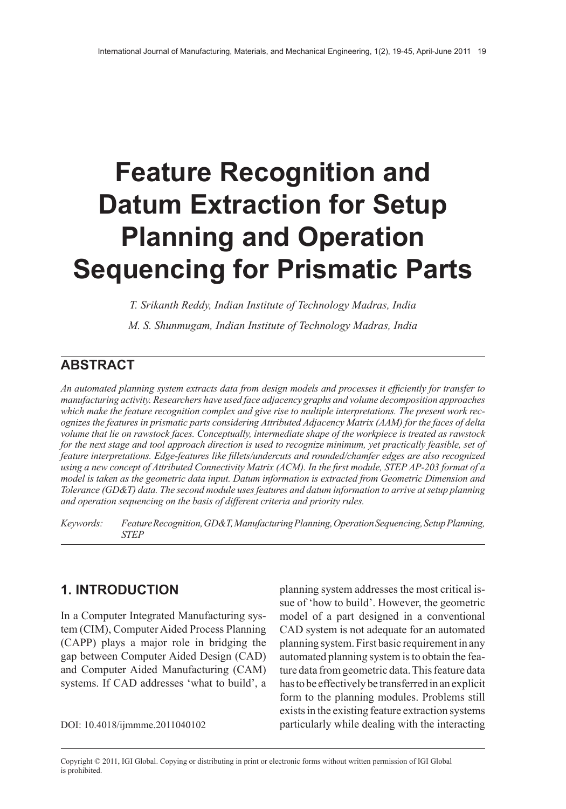# **Feature Recognition and Datum Extraction for Setup Planning and Operation Sequencing for Prismatic Parts**

*T. Srikanth Reddy, Indian Institute of Technology Madras, India*

*M. S. Shunmugam, Indian Institute of Technology Madras, India*

## **ABSTRACT**

*An automated planning system extracts data from design models and processes it efficiently for transfer to manufacturing activity. Researchers have used face adjacency graphs and volume decomposition approaches which make the feature recognition complex and give rise to multiple interpretations. The present work recognizes the features in prismatic parts considering Attributed Adjacency Matrix (AAM) for the faces of delta volume that lie on rawstock faces. Conceptually, intermediate shape of the workpiece is treated as rawstock* for the next stage and tool approach direction is used to recognize minimum, yet practically feasible, set of *feature interpretations. Edge-features like fillets/undercuts and rounded/chamfer edges are also recognized* using a new concept of Attributed Connectivity Matrix (ACM). In the first module, STEP AP-203 format of a *model is taken as the geometric data input. Datum information is extracted from Geometric Dimension and Tolerance (GD&T) data. The second module usesfeatures and datum information to arrive atsetup planning and operation sequencing on the basis of different criteria and priority rules.*

*Keywords: FeatureRecognition,GD&T,ManufacturingPlanning,OperationSequencing,SetupPlanning, STEP*

# **1. INTRODUCTION**

In a Computer Integrated Manufacturing system (CIM), Computer Aided Process Planning (CAPP) plays a major role in bridging the gap between Computer Aided Design (CAD) and Computer Aided Manufacturing (CAM) systems. If CAD addresses 'what to build', a

planning system addresses the most critical issue of 'how to build'. However, the geometric model of a part designed in a conventional CAD system is not adequate for an automated planning system. First basic requirement in any automated planning system is to obtain the feature data from geometric data. This feature data has to be effectively be transferred in an explicit form to the planning modules. Problems still exists in the existing feature extraction systems DOI: 10.4018/ijmmme.2011040102 particularly while dealing with the interacting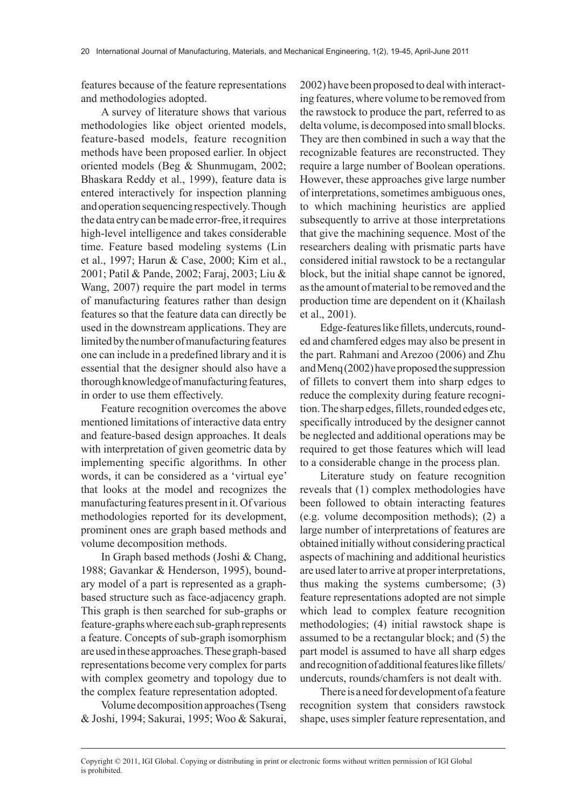features because of the feature representations and methodologies adopted.

A survey of literature shows that various methodologies like object oriented models, feature-based models, feature recognition methods have been proposed earlier. In object oriented models (Beg & Shunmugam, 2002; Bhaskara Reddy et al., 1999), feature data is entered interactively for inspection planning and operation sequencing respectively. Though the data entry can be made error-free, it requires high-level intelligence and takes considerable time. Feature based modeling systems (Lin et al., 1997; Harun & Case, 2000; Kim et al., 2001; Patil & Pande, 2002; Faraj, 2003; Liu & Wang, 2007) require the part model in terms of manufacturing features rather than design features so that the feature data can directly be used in the downstream applications. They are limited by the number of manufacturing features one can include in a predefined library and it is essential that the designer should also have a thorough knowledge of manufacturing features, in order to use them effectively.

Feature recognition overcomes the above mentioned limitations of interactive data entry and feature-based design approaches. It deals with interpretation of given geometric data by implementing specific algorithms. In other words, it can be considered as a 'virtual eye' that looks at the model and recognizes the manufacturing features present in it. Of various methodologies reported for its development, prominent ones are graph based methods and volume decomposition methods.

In Graph based methods (Joshi & Chang, 1988; Gavankar & Henderson, 1995), boundary model of a part is represented as a graphbased structure such as face-adjacency graph. This graph is then searched for sub-graphs or feature-graphs where each sub-graph represents a feature. Concepts of sub-graph isomorphism are used in these approaches. These graph-based representations become very complex for parts with complex geometry and topology due to the complex feature representation adopted.

Volume decomposition approaches (Tseng & Joshi, 1994; Sakurai, 1995; Woo & Sakurai, 2002) have been proposed to deal with interacting features, where volume to be removed from the rawstock to produce the part, referred to as delta volume, is decomposed into small blocks. They are then combined in such a way that the recognizable features are reconstructed. They require a large number of Boolean operations. However, these approaches give large number of interpretations, sometimes ambiguous ones, to which machining heuristics are applied subsequently to arrive at those interpretations that give the machining sequence. Most of the researchers dealing with prismatic parts have considered initial rawstock to be a rectangular block, but the initial shape cannot be ignored, as the amount of material to be removed and the production time are dependent on it (Khailash et al., 2001).

Edge-features like fillets, undercuts, rounded and chamfered edges may also be present in the part. Rahmani and Arezoo (2006) and Zhu and Menq (2002) have proposed the suppression of fillets to convert them into sharp edges to reduce the complexity during feature recognition. The sharp edges, fillets, rounded edges etc, specifically introduced by the designer cannot be neglected and additional operations may be required to get those features which will lead to a considerable change in the process plan.

Literature study on feature recognition reveals that (1) complex methodologies have been followed to obtain interacting features (e.g. volume decomposition methods); (2) a large number of interpretations of features are obtained initially without considering practical aspects of machining and additional heuristics are used later to arrive at proper interpretations, thus making the systems cumbersome; (3) feature representations adopted are not simple which lead to complex feature recognition methodologies; (4) initial rawstock shape is assumed to be a rectangular block; and (5) the part model is assumed to have all sharp edges and recognition of additional features like fillets/ undercuts, rounds/chamfers is not dealt with.

There is a need for development of a feature recognition system that considers rawstock shape, uses simpler feature representation, and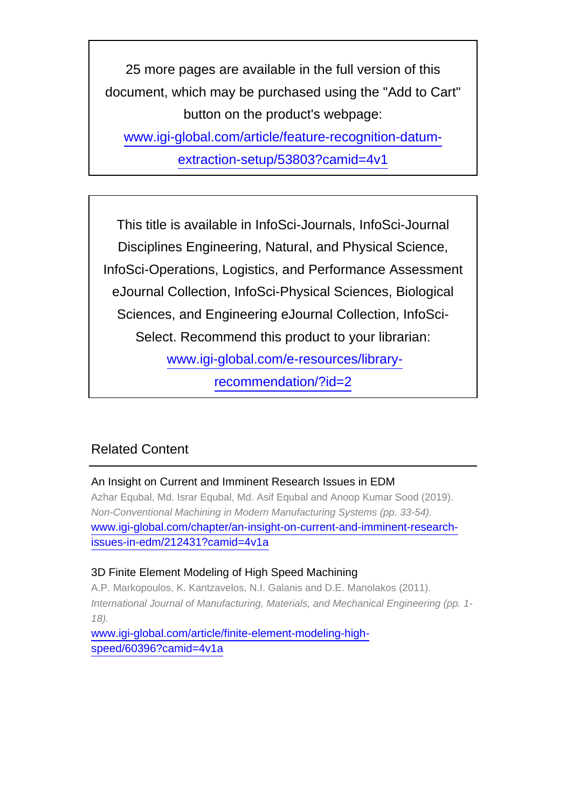25 more pages are available in the full version of this document, which may be purchased using the "Add to Cart" button on the product's webpage: [www.igi-global.com/article/feature-recognition-datum-](http://www.igi-global.com/article/feature-recognition-datum-extraction-setup/53803?camid=4v1)

[extraction-setup/53803?camid=4v1](http://www.igi-global.com/article/feature-recognition-datum-extraction-setup/53803?camid=4v1)

This title is available in InfoSci-Journals, InfoSci-Journal Disciplines Engineering, Natural, and Physical Science, InfoSci-Operations, Logistics, and Performance Assessment eJournal Collection, InfoSci-Physical Sciences, Biological Sciences, and Engineering eJournal Collection, InfoSci-Select. Recommend this product to your librarian: [www.igi-global.com/e-resources/library-](http://www.igi-global.com/e-resources/library-recommendation/?id=2)

[recommendation/?id=2](http://www.igi-global.com/e-resources/library-recommendation/?id=2)

## Related Content

## An Insight on Current and Imminent Research Issues in EDM

Azhar Equbal, Md. Israr Equbal, Md. Asif Equbal and Anoop Kumar Sood (2019). Non-Conventional Machining in Modern Manufacturing Systems (pp. 33-54). [www.igi-global.com/chapter/an-insight-on-current-and-imminent-research](http://www.igi-global.com/chapter/an-insight-on-current-and-imminent-research-issues-in-edm/212431?camid=4v1a)[issues-in-edm/212431?camid=4v1a](http://www.igi-global.com/chapter/an-insight-on-current-and-imminent-research-issues-in-edm/212431?camid=4v1a)

#### 3D Finite Element Modeling of High Speed Machining

A.P. Markopoulos, K. Kantzavelos, N.I. Galanis and D.E. Manolakos (2011). International Journal of Manufacturing, Materials, and Mechanical Engineering (pp. 1- 18).

[www.igi-global.com/article/finite-element-modeling-high](http://www.igi-global.com/article/finite-element-modeling-high-speed/60396?camid=4v1a)[speed/60396?camid=4v1a](http://www.igi-global.com/article/finite-element-modeling-high-speed/60396?camid=4v1a)